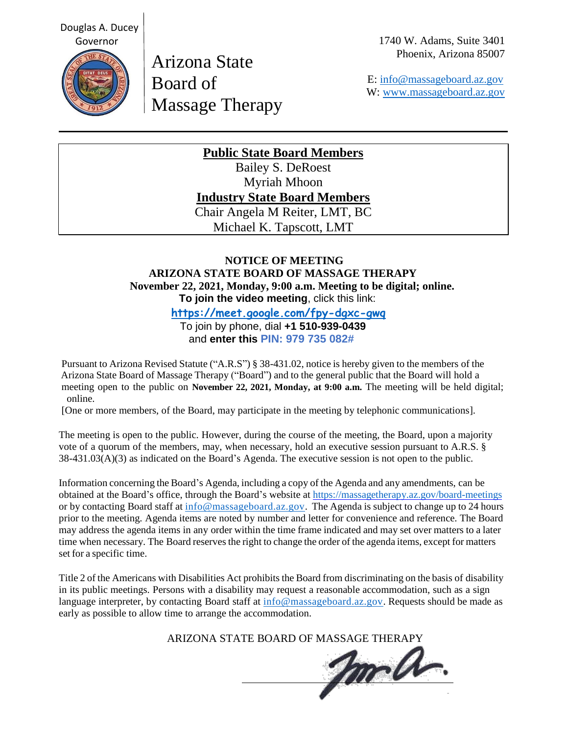1740 W. Adams, Suite 3401 Phoenix, Arizona 85007



Arizona State Board of Massage Therapy

 E: [info@massageboard.az.gov](mailto:info@massageboard.az.gov) W: [www.massageboard.az.gov](http://www.massageboard.az.gov/)

# **Public State Board Members**

Bailey S. DeRoest Myriah Mhoon **Industry State Board Members** Chair Angela M Reiter, LMT, BC Michael K. Tapscott, LMT

# **NOTICE OF MEETING ARIZONA STATE BOARD OF MASSAGE THERAPY November 22, 2021, Monday, 9:00 a.m. Meeting to be digital; online. To join the video meeting**, click this link:

 **<https://meet.google.com/fpy-dgxc-gwq>**

 To join by phone, dial **+1 510-939-0439** and **enter this PIN: 979 735 082#**

Pursuant to Arizona Revised Statute ("A.R.S") § 38-431.02, notice is hereby given to the members of the Arizona State Board of Massage Therapy ("Board") and to the general public that the Board will hold a meeting open to the public on **November 22, 2021, Monday, at 9:00 a.m.** The meeting will be held digital; online.

[One or more members, of the Board, may participate in the meeting by telephonic communications].

The meeting is open to the public. However, during the course of the meeting, the Board, upon a majority vote of a quorum of the members, may, when necessary, hold an executive session pursuant to A.R.S. § 38-431.03(A)(3) as indicated on the Board's Agenda. The executive session is not open to the public.

Information concerning the Board's Agenda, including a copy of the Agenda and any amendments, can be obtained at the Board's office, through the Board's website at<https://massagetherapy.az.gov/board-meetings> or by contacting Board staff at [info@massageboard.az.gov.](mailto:info@massageboard.az.gov) The Agenda is subject to change up to 24 hours prior to the meeting. Agenda items are noted by number and letter for convenience and reference. The Board may address the agenda items in any order within the time frame indicated and may set over matters to a later time when necessary. The Board reserves the right to change the order of the agenda items, except for matters set for a specific time.

Title 2 of the Americans with Disabilities Act prohibits the Board from discriminating on the basis of disability in its public meetings. Persons with a disability may request a reasonable accommodation, such as a sign language interpreter, by contacting Board staff at  $\frac{info@massageboard.az.gov}$ . Requests should be made as early as possible to allow time to arrange the accommodation.

ARIZONA STATE BOARD OF MASSAGE THERAPY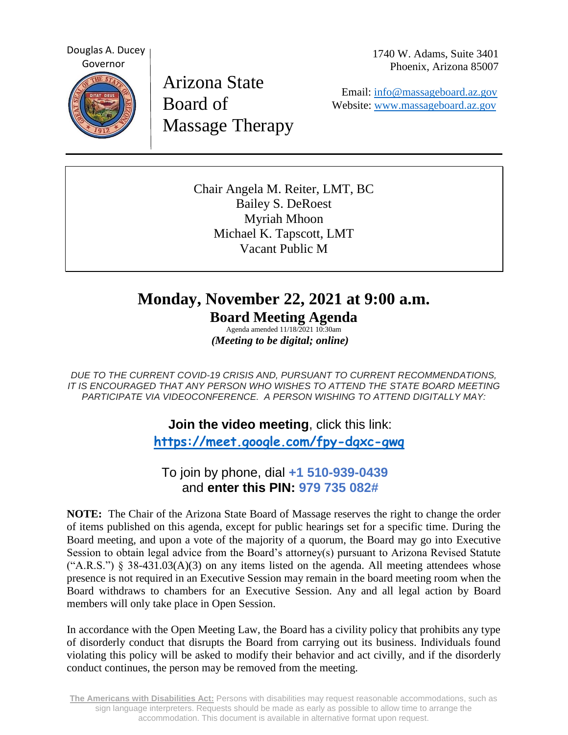Douglas A. Ducey Governor

Arizona State Board of Massage Therapy 1740 W. Adams, Suite 3401 Phoenix, Arizona 85007

 Email: [info@massageboard.az.gov](mailto:info@massageboard.az.gov) Website: [www.massageboard.az.gov](http://www.massageboard.az.gov/)

Chair Angela M. Reiter, LMT, BC Bailey S. DeRoest Myriah Mhoon Michael K. Tapscott, LMT Vacant Public M

# **Monday, November 22, 2021 at 9:00 a.m. Board Meeting Agenda**

Agenda amended 11/18/2021 10:30am  *(Meeting to be digital; online)*

*DUE TO THE CURRENT COVID-19 CRISIS AND, PURSUANT TO CURRENT RECOMMENDATIONS, IT IS ENCOURAGED THAT ANY PERSON WHO WISHES TO ATTEND THE STATE BOARD MEETING PARTICIPATE VIA VIDEOCONFERENCE. A PERSON WISHING TO ATTEND DIGITALLY MAY:*

> **Join the video meeting**, click this link:  **<https://meet.google.com/fpy-dgxc-gwq>**

 To join by phone, dial **+1 510-939-0439** and **enter this PIN: 979 735 082#**

**NOTE:** The Chair of the Arizona State Board of Massage reserves the right to change the order of items published on this agenda, except for public hearings set for a specific time. During the Board meeting, and upon a vote of the majority of a quorum, the Board may go into Executive Session to obtain legal advice from the Board's attorney(s) pursuant to Arizona Revised Statute  $({}^{\circ}A.R.S.^{\circ})$  § 38-431.03(A)(3) on any items listed on the agenda. All meeting attendees whose presence is not required in an Executive Session may remain in the board meeting room when the Board withdraws to chambers for an Executive Session. Any and all legal action by Board members will only take place in Open Session.

In accordance with the Open Meeting Law, the Board has a civility policy that prohibits any type of disorderly conduct that disrupts the Board from carrying out its business. Individuals found violating this policy will be asked to modify their behavior and act civilly, and if the disorderly conduct continues, the person may be removed from the meeting.

**The Americans with Disabilities Act:** Persons with disabilities may request reasonable accommodations, such as sign language interpreters. Requests should be made as early as possible to allow time to arrange the accommodation. This document is available in alternative format upon request.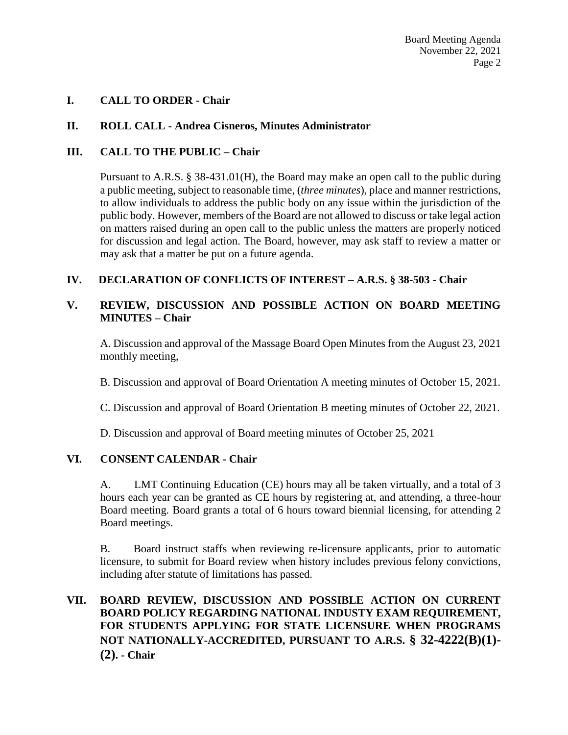## **I. CALL TO ORDER - Chair**

## **II. ROLL CALL - Andrea Cisneros, Minutes Administrator**

## **III. CALL TO THE PUBLIC – Chair**

Pursuant to A.R.S. § 38-431.01(H), the Board may make an open call to the public during a public meeting, subject to reasonable time, (*three minutes*), place and manner restrictions, to allow individuals to address the public body on any issue within the jurisdiction of the public body. However, members of the Board are not allowed to discuss or take legal action on matters raised during an open call to the public unless the matters are properly noticed for discussion and legal action. The Board, however, may ask staff to review a matter or may ask that a matter be put on a future agenda.

## **IV. DECLARATION OF CONFLICTS OF INTEREST – A.R.S. § 38-503 - Chair**

## **V. REVIEW, DISCUSSION AND POSSIBLE ACTION ON BOARD MEETING MINUTES – Chair**

A. Discussion and approval of the Massage Board Open Minutes from the August 23, 2021 monthly meeting,

B. Discussion and approval of Board Orientation A meeting minutes of October 15, 2021.

C. Discussion and approval of Board Orientation B meeting minutes of October 22, 2021.

D. Discussion and approval of Board meeting minutes of October 25, 2021

## **VI. CONSENT CALENDAR - Chair**

A.LMT Continuing Education (CE) hours may all be taken virtually, and a total of 3 hours each year can be granted as CE hours by registering at, and attending, a three-hour Board meeting. Board grants a total of 6 hours toward biennial licensing, for attending 2 Board meetings.

B. Board instruct staffs when reviewing re-licensure applicants, prior to automatic licensure, to submit for Board review when history includes previous felony convictions, including after statute of limitations has passed.

# **VII. BOARD REVIEW, DISCUSSION AND POSSIBLE ACTION ON CURRENT BOARD POLICY REGARDING NATIONAL INDUSTY EXAM REQUIREMENT, FOR STUDENTS APPLYING FOR STATE LICENSURE WHEN PROGRAMS NOT NATIONALLY-ACCREDITED, PURSUANT TO A.R.S. § 32-4222(B)(1)- (2). - Chair**